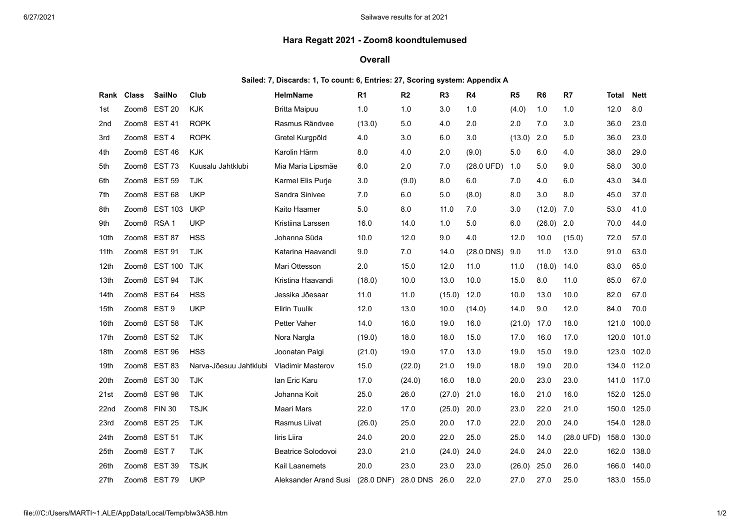## **Hara Regatt 2021 - Zoom8 koondtulemused**

## **Overall**

## **Sailed: 7, Discards: 1, To count: 6, Entries: 27, Scoring system: Appendix A**

| Rank | <b>Class</b> | <b>SailNo</b>    | Club                   | <b>HelmName</b>           | R <sub>1</sub> | R <sub>2</sub> | R <sub>3</sub> | R <sub>4</sub> | R <sub>5</sub> | R <sub>6</sub> | R7         | <b>Total</b> | <b>Nett</b> |
|------|--------------|------------------|------------------------|---------------------------|----------------|----------------|----------------|----------------|----------------|----------------|------------|--------------|-------------|
| 1st  | Zoom8        | <b>EST 20</b>    | <b>KJK</b>             | <b>Britta Maipuu</b>      | 1.0            | 1.0            | 3.0            | 1.0            | (4.0)          | 1.0            | 1.0        | 12.0         | 8.0         |
| 2nd  |              | Zoom8 EST 41     | <b>ROPK</b>            | Rasmus Rändvee            | (13.0)         | 5.0            | 4.0            | 2.0            | 2.0            | 7.0            | 3.0        | 36.0         | 23.0        |
| 3rd  | Zoom8 EST 4  |                  | <b>ROPK</b>            | Gretel Kurgpõld           | 4.0            | 3.0            | 6.0            | 3.0            | (13.0)         | 2.0            | 5.0        | 36.0         | 23.0        |
| 4th  |              | Zoom8 EST 46     | <b>KJK</b>             | Karolin Härm              | 8.0            | 4.0            | 2.0            | (9.0)          | 5.0            | 6.0            | 4.0        | 38.0         | 29.0        |
| 5th  |              | Zoom8 EST 73     | Kuusalu Jahtklubi      | Mia Maria Lipsmäe         | 6.0            | 2.0            | 7.0            | (28.0 UFD)     | 1.0            | 5.0            | 9.0        | 58.0         | 30.0        |
| 6th  |              | Zoom8 EST 59     | <b>TJK</b>             | Karmel Elis Purje         | 3.0            | (9.0)          | 8.0            | 6.0            | 7.0            | 4.0            | 6.0        | 43.0         | 34.0        |
| 7th  | Zoom8        | <b>EST 68</b>    | <b>UKP</b>             | Sandra Sinivee            | 7.0            | 6.0            | 5.0            | (8.0)          | 8.0            | 3.0            | 8.0        | 45.0         | 37.0        |
| 8th  |              | Zoom8 EST 103    | <b>UKP</b>             | Kaito Haamer              | $5.0\,$        | 8.0            | 11.0           | 7.0            | 3.0            | (12.0)         | 7.0        | 53.0         | 41.0        |
| 9th  | Zoom8 RSA 1  |                  | <b>UKP</b>             | Kristiina Larssen         | 16.0           | 14.0           | 1.0            | 5.0            | 6.0            | (26.0)         | 2.0        | 70.0         | 44.0        |
| 10th |              | Zoom8 EST 87     | <b>HSS</b>             | Johanna Süda              | 10.0           | 12.0           | 9.0            | 4.0            | 12.0           | 10.0           | (15.0)     | 72.0         | 57.0        |
| 11th |              | Zoom8 EST 91     | <b>TJK</b>             | Katarina Haavandi         | 9.0            | 70             | 14.0           | (28.0 DNS)     | 9.0            | 11.0           | 13.0       | 91.0         | 63.0        |
| 12th |              | Zoom8 EST 100    | <b>TJK</b>             | Mari Ottesson             | 2.0            | 15.0           | 12.0           | 11.0           | 11.0           | (18.0)         | 14.0       | 83.0         | 65.0        |
| 13th |              | Zoom8 EST 94     | <b>TJK</b>             | Kristina Haavandi         | (18.0)         | 10.0           | 13.0           | 10.0           | 15.0           | 8.0            | 11.0       | 85.0         | 67.0        |
| 14th | Zoom8        | <b>EST 64</b>    | <b>HSS</b>             | Jessika Jõesaar           | 11.0           | 11.0           | (15.0)         | 12.0           | 10.0           | 13.0           | 10.0       | 82.0         | 67.0        |
| 15th | Zoom8 EST 9  |                  | <b>UKP</b>             | Elirin Tuulik             | 12.0           | 13.0           | 10.0           | (14.0)         | 14.0           | 9.0            | 12.0       | 84.0         | 70.0        |
| 16th |              | Zoom8 EST 58     | <b>TJK</b>             | Petter Vaher              | 14.0           | 16.0           | 19.0           | 16.0           | (21.0)         | 17.0           | 18.0       | 121.0        | 100.0       |
| 17th |              | Zoom8 EST 52     | <b>TJK</b>             | Nora Nargla               | (19.0)         | 18.0           | 18.0           | 15.0           | 17.0           | 16.0           | 17.0       | 120.0        | 101.0       |
| 18th | Zoom8        | <b>EST 96</b>    | <b>HSS</b>             | Joonatan Palgi            | (21.0)         | 19.0           | 17.0           | 13.0           | 19.0           | 15.0           | 19.0       | 123.0        | 102.0       |
| 19th |              | Zoom8 EST 83     | Narva-Jõesuu Jahtklubi | <b>Vladimir Masterov</b>  | 15.0           | (22.0)         | 21.0           | 19.0           | 18.0           | 19.0           | 20.0       | 134.0        | 112.0       |
| 20th |              | Zoom8 EST 30     | <b>TJK</b>             | Ian Eric Karu             | 17.0           | (24.0)         | 16.0           | 18.0           | 20.0           | 23.0           | 23.0       | 141.0        | 117.0       |
| 21st | Zoom8        | <b>EST 98</b>    | <b>TJK</b>             | Johanna Koit              | 25.0           | 26.0           | (27.0)         | 21.0           | 16.0           | 21.0           | 16.0       | 152.0        | 125.0       |
| 22nd | Zoom8 FIN 30 |                  | <b>TSJK</b>            | Maari Mars                | 22.0           | 17.0           | (25.0)         | 20.0           | 23.0           | 22.0           | 21.0       | 150.0        | 125.0       |
| 23rd |              | Zoom8 EST 25     | <b>TJK</b>             | Rasmus Liivat             | (26.0)         | 25.0           | 20.0           | 17.0           | 22.0           | 20.0           | 24.0       | 154.0        | 128.0       |
| 24th | Zoom8        | <b>EST 51</b>    | <b>TJK</b>             | liris Liira               | 24.0           | 20.0           | 22.0           | 25.0           | 25.0           | 14.0           | (28.0 UFD) | 158.0        | 130.0       |
| 25th | Zoom8        | EST <sub>7</sub> | <b>TJK</b>             | <b>Beatrice Solodovoi</b> | 23.0           | 21.0           | (24.0)         | 24.0           | 24.0           | 24.0           | 22.0       | 162.0        | 138.0       |
| 26th |              | Zoom8 EST 39     | <b>TSJK</b>            | Kail Laanemets            | 20.0           | 23.0           | 23.0           | 23.0           | (26.0)         | 25.0           | 26.0       | 166.0        | 140.0       |
| 27th | Zoom8        | <b>EST 79</b>    | <b>UKP</b>             | Aleksander Arand Susi     | $(28.0$ DNF)   | 28.0 DNS       | 26.0           | 22.0           | 27.0           | 27.0           | 25.0       | 183.0        | 155.0       |